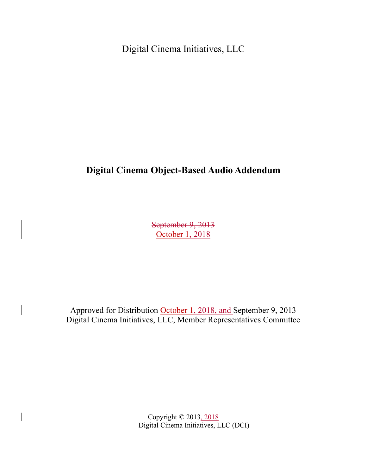Digital Cinema Initiatives, LLC

# **Digital Cinema Object-Based Audio Addendum**

September 9, 2013 October 1, 2018

Approved for Distribution October 1, 2018, and September 9, 2013 Digital Cinema Initiatives, LLC, Member Representatives Committee

> Copyright © 2013, 2018 Digital Cinema Initiatives, LLC (DCI)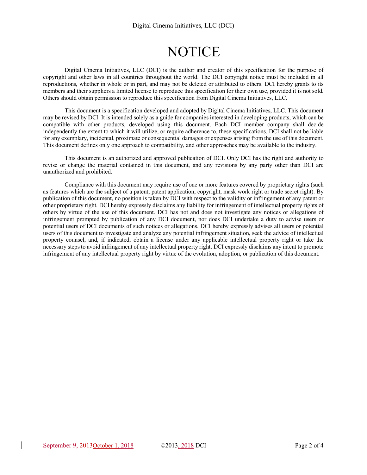# **NOTICE**

Digital Cinema Initiatives, LLC (DCI) is the author and creator of this specification for the purpose of copyright and other laws in all countries throughout the world. The DCI copyright notice must be included in all reproductions, whether in whole or in part, and may not be deleted or attributed to others. DCI hereby grants to its members and their suppliers a limited license to reproduce this specification for their own use, provided it is not sold. Others should obtain permission to reproduce this specification from Digital Cinema Initiatives, LLC.

This document is a specification developed and adopted by Digital Cinema Initiatives, LLC. This document may be revised by DCI. It is intended solely as a guide for companies interested in developing products, which can be compatible with other products, developed using this document. Each DCI member company shall decide independently the extent to which it will utilize, or require adherence to, these specifications. DCI shall not be liable for any exemplary, incidental, proximate or consequential damages or expenses arising from the use of this document. This document defines only one approach to compatibility, and other approaches may be available to the industry.

This document is an authorized and approved publication of DCI. Only DCI has the right and authority to revise or change the material contained in this document, and any revisions by any party other than DCI are unauthorized and prohibited.

Compliance with this document may require use of one or more features covered by proprietary rights (such as features which are the subject of a patent, patent application, copyright, mask work right or trade secret right). By publication of this document, no position is taken by DCI with respect to the validity or infringement of any patent or other proprietary right. DCI hereby expressly disclaims any liability for infringement of intellectual property rights of others by virtue of the use of this document. DCI has not and does not investigate any notices or allegations of infringement prompted by publication of any DCI document, nor does DCI undertake a duty to advise users or potential users of DCI documents of such notices or allegations. DCI hereby expressly advises all users or potential users of this document to investigate and analyze any potential infringement situation, seek the advice of intellectual property counsel, and, if indicated, obtain a license under any applicable intellectual property right or take the necessary steps to avoid infringement of any intellectual property right. DCI expressly disclaims any intent to promote infringement of any intellectual property right by virtue of the evolution, adoption, or publication of this document.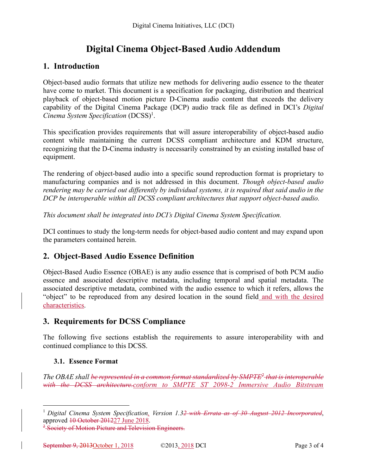# **Digital Cinema Object-Based Audio Addendum**

## **1. Introduction**

Object-based audio formats that utilize new methods for delivering audio essence to the theater have come to market. This document is a specification for packaging, distribution and theatrical playback of object-based motion picture D-Cinema audio content that exceeds the delivery capability of the Digital Cinema Package (DCP) audio track file as defined in DCI's *Digital Cinema System Specification* (DCSS)1.

This specification provides requirements that will assure interoperability of object-based audio content while maintaining the current DCSS compliant architecture and KDM structure, recognizing that the D-Cinema industry is necessarily constrained by an existing installed base of equipment.

The rendering of object-based audio into a specific sound reproduction format is proprietary to manufacturing companies and is not addressed in this document. *Though object-based audio rendering may be carried out differently by individual systems, it is required that said audio in the DCP be interoperable within all DCSS compliant architectures that support object-based audio.*

*This document shall be integrated into DCI's Digital Cinema System Specification.*

DCI continues to study the long-term needs for object-based audio content and may expand upon the parameters contained herein.

# **2. Object-Based Audio Essence Definition**

Object-Based Audio Essence (OBAE) is any audio essence that is comprised of both PCM audio essence and associated descriptive metadata, including temporal and spatial metadata. The associated descriptive metadata, combined with the audio essence to which it refers, allows the "object" to be reproduced from any desired location in the sound field and with the desired characteristics.

# **3. Requirements for DCSS Compliance**

The following five sections establish the requirements to assure interoperability with and continued compliance to this DCSS.

### **3.1. Essence Format**

*The OBAE shall be represented in a common format standardized by SMPTE2 that is interoperable with the DCSS architecture.conform to SMPTE ST 2098-2 Immersive Audio Bitstream* 

 <sup>1</sup> *Digital Cinema System Specification, Version 1.32 with Errata as of 30 August 2012 Incorporated*, approved 10 October 201227 June 2018.

<sup>&</sup>lt;sup>2</sup> Society of Motion Picture and Television Engineers.